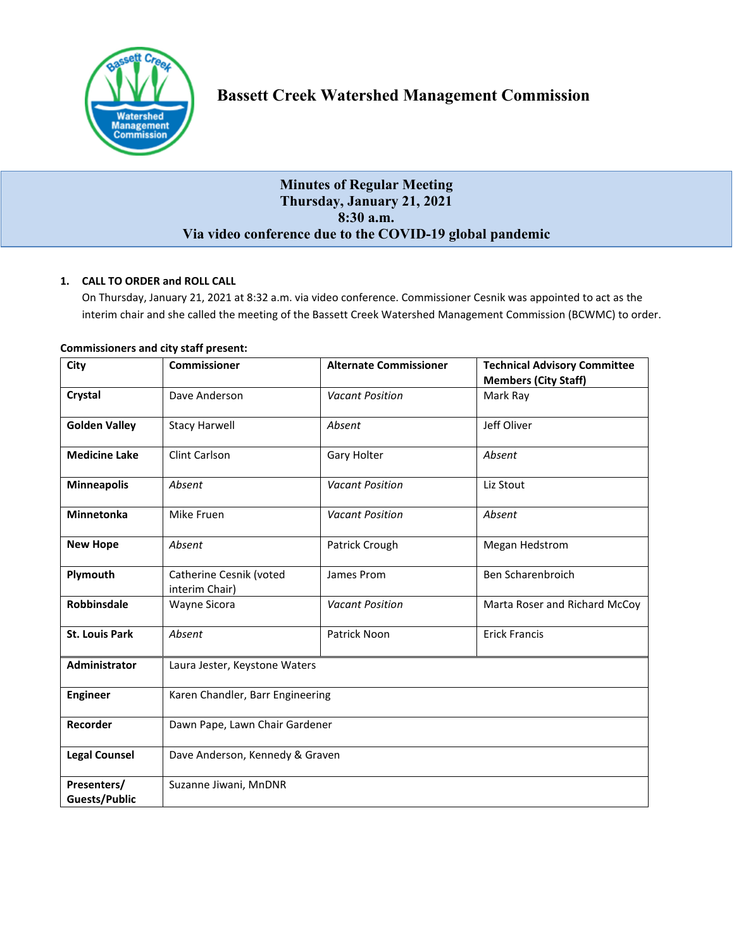

# **Minutes of Regular Meeting Thursday, January 21, 2021 8:30 a.m. Via video conference due to the COVID-19 global pandemic**

# **1. CALL TO ORDER and ROLL CALL**

On Thursday, January 21, 2021 at 8:32 a.m. via video conference. Commissioner Cesnik was appointed to act as the interim chair and she called the meeting of the Bassett Creek Watershed Management Commission (BCWMC) to order.

| City                                | <b>Commissioner</b>                       | <b>Alternate Commissioner</b> | <b>Technical Advisory Committee</b><br><b>Members (City Staff)</b> |
|-------------------------------------|-------------------------------------------|-------------------------------|--------------------------------------------------------------------|
| Crystal                             | Dave Anderson                             | <b>Vacant Position</b>        | Mark Ray                                                           |
| <b>Golden Valley</b>                | <b>Stacy Harwell</b>                      | Absent                        | Jeff Oliver                                                        |
| <b>Medicine Lake</b>                | Clint Carlson                             | Gary Holter                   | Absent                                                             |
| <b>Minneapolis</b>                  | Absent                                    | <b>Vacant Position</b>        | Liz Stout                                                          |
| <b>Minnetonka</b>                   | Mike Fruen                                | <b>Vacant Position</b>        | Absent                                                             |
| <b>New Hope</b>                     | Absent                                    | Patrick Crough                | Megan Hedstrom                                                     |
| Plymouth                            | Catherine Cesnik (voted<br>interim Chair) | James Prom                    | Ben Scharenbroich                                                  |
| Robbinsdale                         | Wayne Sicora                              | <b>Vacant Position</b>        | Marta Roser and Richard McCoy                                      |
| <b>St. Louis Park</b>               | Absent                                    | Patrick Noon                  | <b>Erick Francis</b>                                               |
| Administrator                       | Laura Jester, Keystone Waters             |                               |                                                                    |
| <b>Engineer</b>                     | Karen Chandler, Barr Engineering          |                               |                                                                    |
| Recorder                            | Dawn Pape, Lawn Chair Gardener            |                               |                                                                    |
| <b>Legal Counsel</b>                | Dave Anderson, Kennedy & Graven           |                               |                                                                    |
| Presenters/<br><b>Guests/Public</b> | Suzanne Jiwani, MnDNR                     |                               |                                                                    |

# **Commissioners and city staff present:**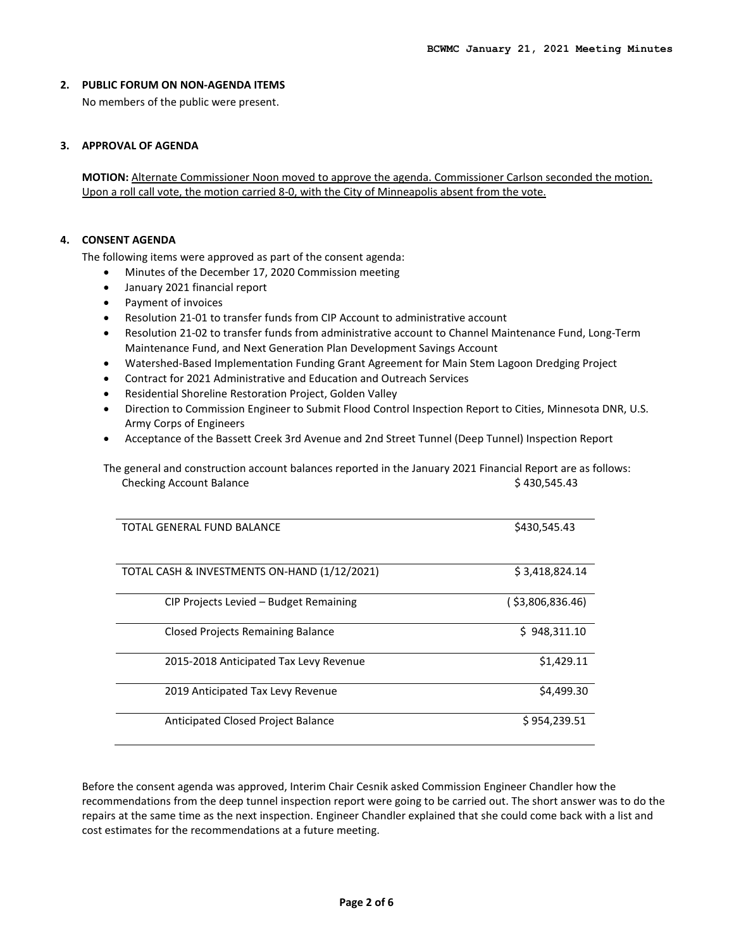#### **2. PUBLIC FORUM ON NON-AGENDA ITEMS**

No members of the public were present.

### **3. APPROVAL OF AGENDA**

**MOTION:** Alternate Commissioner Noon moved to approve the agenda. Commissioner Carlson seconded the motion. Upon a roll call vote, the motion carried 8-0, with the City of Minneapolis absent from the vote.

### **4. CONSENT AGENDA**

The following items were approved as part of the consent agenda:

- Minutes of the December 17, 2020 Commission meeting
- January 2021 financial report
- Payment of invoices
- Resolution 21-01 to transfer funds from CIP Account to administrative account
- Resolution 21-02 to transfer funds from administrative account to Channel Maintenance Fund, Long-Term Maintenance Fund, and Next Generation Plan Development Savings Account
- Watershed-Based Implementation Funding Grant Agreement for Main Stem Lagoon Dredging Project
- Contract for 2021 Administrative and Education and Outreach Services
- Residential Shoreline Restoration Project, Golden Valley
- Direction to Commission Engineer to Submit Flood Control Inspection Report to Cities, Minnesota DNR, U.S. Army Corps of Engineers
- Acceptance of the Bassett Creek 3rd Avenue and 2nd Street Tunnel (Deep Tunnel) Inspection Report

The general and construction account balances reported in the January 2021 Financial Report are as follows: Checking Account Balance **\$ 430,545.43** 

| TOTAL GENERAL FUND BALANCE                   | \$430,545.43     |
|----------------------------------------------|------------------|
| TOTAL CASH & INVESTMENTS ON-HAND (1/12/2021) | \$3,418,824.14   |
| CIP Projects Levied – Budget Remaining       | (\$3,806,836.46) |
| <b>Closed Projects Remaining Balance</b>     | \$948,311.10     |
| 2015-2018 Anticipated Tax Levy Revenue       | \$1,429.11       |
| 2019 Anticipated Tax Levy Revenue            | \$4,499.30       |
| Anticipated Closed Project Balance           | \$954,239.51     |

Before the consent agenda was approved, Interim Chair Cesnik asked Commission Engineer Chandler how the recommendations from the deep tunnel inspection report were going to be carried out. The short answer was to do the repairs at the same time as the next inspection. Engineer Chandler explained that she could come back with a list and cost estimates for the recommendations at a future meeting.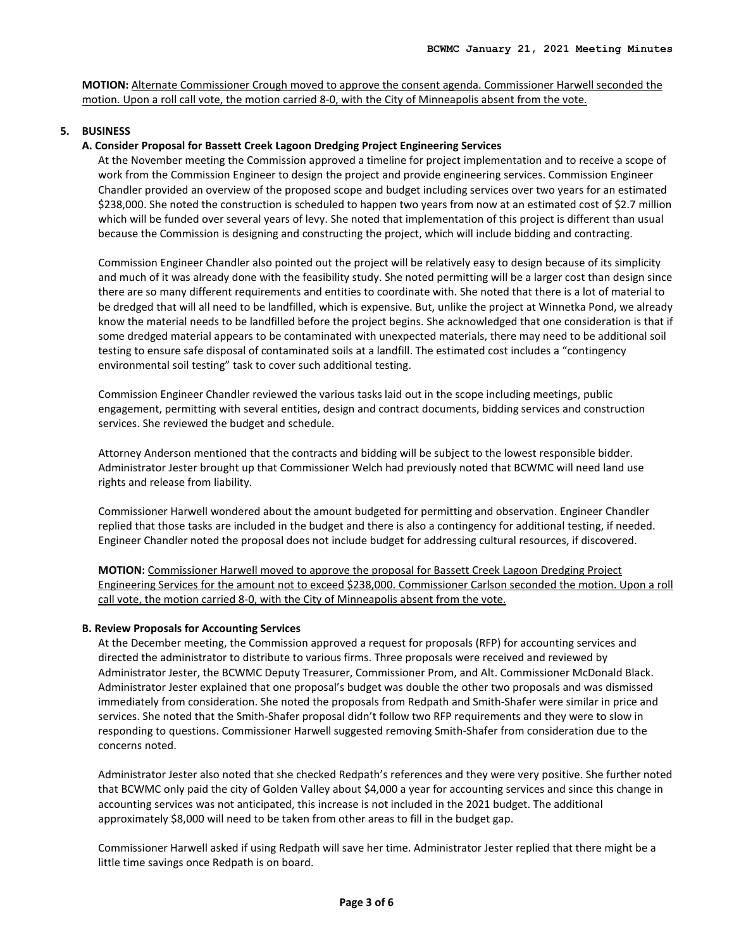**MOTION:** Alternate Commissioner Crough moved to approve the consent agenda. Commissioner Harwell seconded the motion. Upon a roll call vote, the motion carried 8-0, with the City of Minneapolis absent from the vote.

# **5. BUSINESS**

### **A. Consider Proposal for Bassett Creek Lagoon Dredging Project Engineering Services**

At the November meeting the Commission approved a timeline for project implementation and to receive a scope of work from the Commission Engineer to design the project and provide engineering services. Commission Engineer Chandler provided an overview of the proposed scope and budget including services over two years for an estimated \$238,000. She noted the construction is scheduled to happen two years from now at an estimated cost of \$2.7 million which will be funded over several years of levy. She noted that implementation of this project is different than usual because the Commission is designing and constructing the project, which will include bidding and contracting.

Commission Engineer Chandler also pointed out the project will be relatively easy to design because of its simplicity and much of it was already done with the feasibility study. She noted permitting will be a larger cost than design since there are so many different requirements and entities to coordinate with. She noted that there is a lot of material to be dredged that will all need to be landfilled, which is expensive. But, unlike the project at Winnetka Pond, we already know the material needs to be landfilled before the project begins. She acknowledged that one consideration is that if some dredged material appears to be contaminated with unexpected materials, there may need to be additional soil testing to ensure safe disposal of contaminated soils at a landfill. The estimated cost includes a "contingency environmental soil testing" task to cover such additional testing.

Commission Engineer Chandler reviewed the various tasks laid out in the scope including meetings, public engagement, permitting with several entities, design and contract documents, bidding services and construction services. She reviewed the budget and schedule.

Attorney Anderson mentioned that the contracts and bidding will be subject to the lowest responsible bidder. Administrator Jester brought up that Commissioner Welch had previously noted that BCWMC will need land use rights and release from liability.

Commissioner Harwell wondered about the amount budgeted for permitting and observation. Engineer Chandler replied that those tasks are included in the budget and there is also a contingency for additional testing, if needed. Engineer Chandler noted the proposal does not include budget for addressing cultural resources, if discovered.

**MOTION:** Commissioner Harwell moved to approve the proposal for Bassett Creek Lagoon Dredging Project Engineering Services for the amount not to exceed \$238,000. Commissioner Carlson seconded the motion. Upon a roll call vote, the motion carried 8-0, with the City of Minneapolis absent from the vote.

#### **B. Review Proposals for Accounting Services**

At the December meeting, the Commission approved a request for proposals (RFP) for accounting services and directed the administrator to distribute to various firms. Three proposals were received and reviewed by Administrator Jester, the BCWMC Deputy Treasurer, Commissioner Prom, and Alt. Commissioner McDonald Black. Administrator Jester explained that one proposal's budget was double the other two proposals and was dismissed immediately from consideration. She noted the proposals from Redpath and Smith-Shafer were similar in price and services. She noted that the Smith-Shafer proposal didn't follow two RFP requirements and they were to slow in responding to questions. Commissioner Harwell suggested removing Smith-Shafer from consideration due to the concerns noted.

Administrator Jester also noted that she checked Redpath's references and they were very positive. She further noted that BCWMC only paid the city of Golden Valley about \$4,000 a year for accounting services and since this change in accounting services was not anticipated, this increase is not included in the 2021 budget. The additional approximately \$8,000 will need to be taken from other areas to fill in the budget gap.

Commissioner Harwell asked if using Redpath will save her time. Administrator Jester replied that there might be a little time savings once Redpath is on board.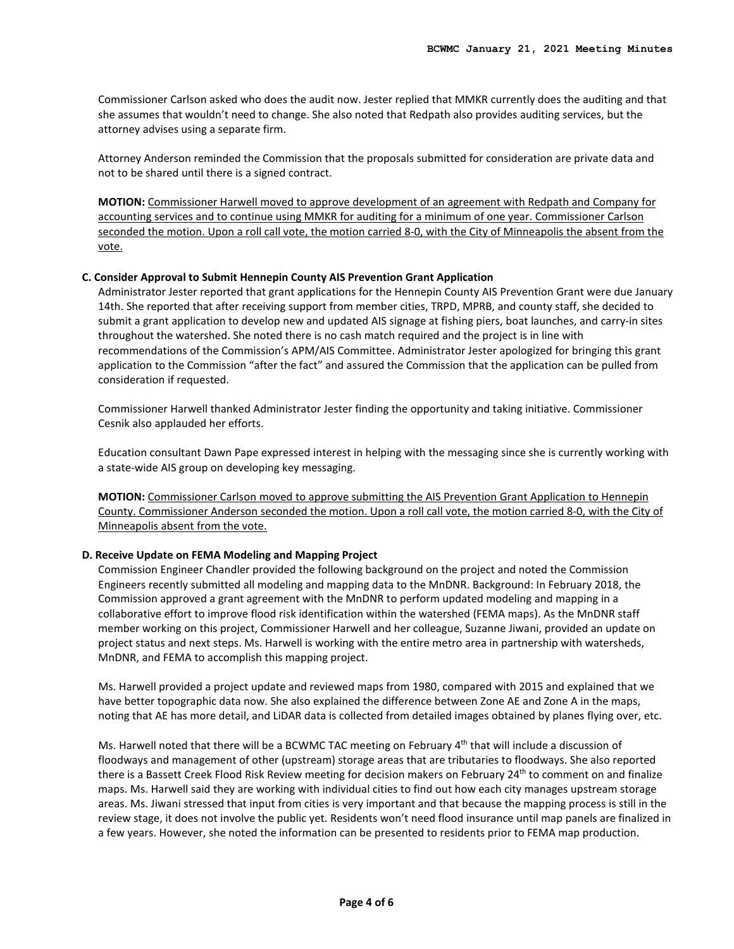Commissioner Carlson asked who does the audit now. Jester replied that MMKR currently does the auditing and that she assumes that wouldn't need to change. She also noted that Redpath also provides auditing services, but the attorney advises using a separate firm.

Attorney Anderson reminded the Commission that the proposals submitted for consideration are private data and not to be shared until there is a signed contract.

**MOTION:** Commissioner Harwell moved to approve development of an agreement with Redpath and Company for accounting services and to continue using MMKR for auditing for a minimum of one year. Commissioner Carlson seconded the motion. Upon a roll call vote, the motion carried 8-0, with the City of Minneapolis the absent from the vote.

#### **C. Consider Approval to Submit Hennepin County AIS Prevention Grant Application**

Administrator Jester reported that grant applications for the Hennepin County AIS Prevention Grant were due January 14th. She reported that after receiving support from member cities, TRPD, MPRB, and county staff, she decided to submit a grant application to develop new and updated AIS signage at fishing piers, boat launches, and carry-in sites throughout the watershed. She noted there is no cash match required and the project is in line with recommendations of the Commission's APM/AIS Committee. Administrator Jester apologized for bringing this grant application to the Commission "after the fact" and assured the Commission that the application can be pulled from consideration if requested.

Commissioner Harwell thanked Administrator Jester finding the opportunity and taking initiative. Commissioner Cesnik also applauded her efforts.

Education consultant Dawn Pape expressed interest in helping with the messaging since she is currently working with a state-wide AIS group on developing key messaging.

**MOTION:** Commissioner Carlson moved to approve submitting the AIS Prevention Grant Application to Hennepin County. Commissioner Anderson seconded the motion. Upon a roll call vote, the motion carried 8-0, with the City of Minneapolis absent from the vote.

#### **D. Receive Update on FEMA Modeling and Mapping Project**

Commission Engineer Chandler provided the following background on the project and noted the Commission Engineers recently submitted all modeling and mapping data to the MnDNR. Background: In February 2018, the Commission approved a grant agreement with the MnDNR to perform updated modeling and mapping in a collaborative effort to improve flood risk identification within the watershed (FEMA maps). As the MnDNR staff member working on this project, Commissioner Harwell and her colleague, Suzanne Jiwani, provided an update on project status and next steps. Ms. Harwell is working with the entire metro area in partnership with watersheds, MnDNR, and FEMA to accomplish this mapping project.

Ms. Harwell provided a project update and reviewed maps from 1980, compared with 2015 and explained that we have better topographic data now. She also explained the difference between Zone AE and Zone A in the maps, noting that AE has more detail, and LiDAR data is collected from detailed images obtained by planes flying over, etc.

Ms. Harwell noted that there will be a BCWMC TAC meeting on February 4<sup>th</sup> that will include a discussion of floodways and management of other (upstream) storage areas that are tributaries to floodways. She also reported there is a Bassett Creek Flood Risk Review meeting for decision makers on February 24<sup>th</sup> to comment on and finalize maps. Ms. Harwell said they are working with individual cities to find out how each city manages upstream storage areas. Ms. Jiwani stressed that input from cities is very important and that because the mapping process is still in the review stage, it does not involve the public yet. Residents won't need flood insurance until map panels are finalized in a few years. However, she noted the information can be presented to residents prior to FEMA map production.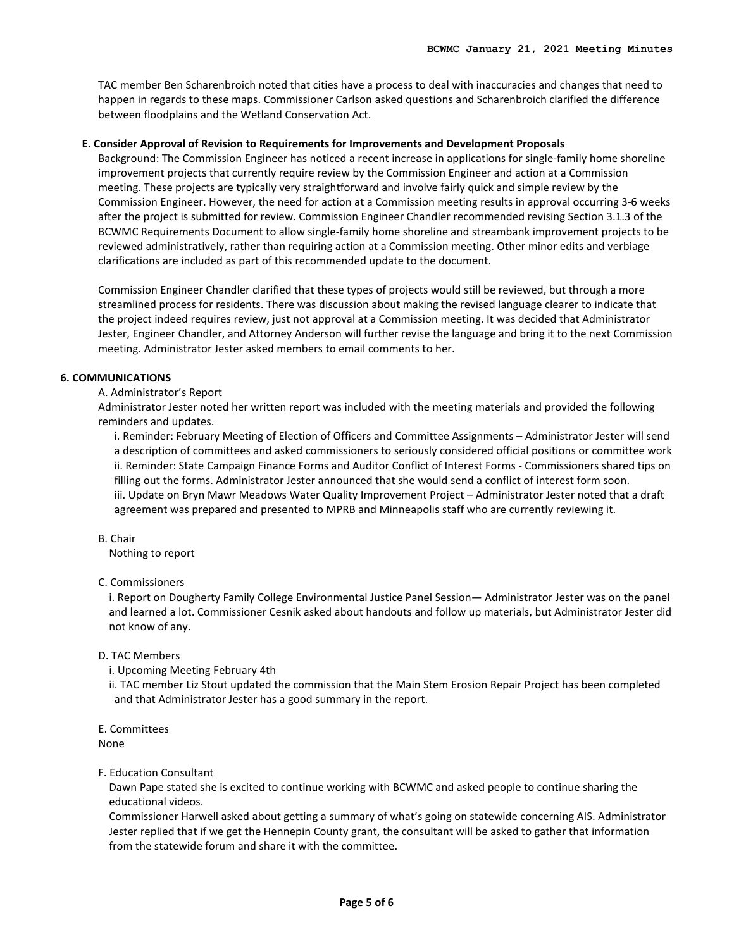TAC member Ben Scharenbroich noted that cities have a process to deal with inaccuracies and changes that need to happen in regards to these maps. Commissioner Carlson asked questions and Scharenbroich clarified the difference between floodplains and the Wetland Conservation Act.

#### **E. Consider Approval of Revision to Requirements for Improvements and Development Proposals**

Background: The Commission Engineer has noticed a recent increase in applications for single-family home shoreline improvement projects that currently require review by the Commission Engineer and action at a Commission meeting. These projects are typically very straightforward and involve fairly quick and simple review by the Commission Engineer. However, the need for action at a Commission meeting results in approval occurring 3-6 weeks after the project is submitted for review. Commission Engineer Chandler recommended revising Section 3.1.3 of the BCWMC Requirements Document to allow single-family home shoreline and streambank improvement projects to be reviewed administratively, rather than requiring action at a Commission meeting. Other minor edits and verbiage clarifications are included as part of this recommended update to the document.

Commission Engineer Chandler clarified that these types of projects would still be reviewed, but through a more streamlined process for residents. There was discussion about making the revised language clearer to indicate that the project indeed requires review, just not approval at a Commission meeting. It was decided that Administrator Jester, Engineer Chandler, and Attorney Anderson will further revise the language and bring it to the next Commission meeting. Administrator Jester asked members to email comments to her.

# **6. COMMUNICATIONS**

### A. Administrator's Report

Administrator Jester noted her written report was included with the meeting materials and provided the following reminders and updates.

i. Reminder: February Meeting of Election of Officers and Committee Assignments – Administrator Jester will send a description of committees and asked commissioners to seriously considered official positions or committee work ii. Reminder: State Campaign Finance Forms and Auditor Conflict of Interest Forms - Commissioners shared tips on filling out the forms. Administrator Jester announced that she would send a conflict of interest form soon. iii. Update on Bryn Mawr Meadows Water Quality Improvement Project – Administrator Jester noted that a draft agreement was prepared and presented to MPRB and Minneapolis staff who are currently reviewing it.

#### B. Chair

Nothing to report

# C. Commissioners

i. Report on Dougherty Family College Environmental Justice Panel Session— Administrator Jester was on the panel and learned a lot. Commissioner Cesnik asked about handouts and follow up materials, but Administrator Jester did not know of any.

# D. TAC Members

i. Upcoming Meeting February 4th

ii. TAC member Liz Stout updated the commission that the Main Stem Erosion Repair Project has been completed and that Administrator Jester has a good summary in the report.

# E. Committees

None

# F. Education Consultant

Dawn Pape stated she is excited to continue working with BCWMC and asked people to continue sharing the educational videos.

Commissioner Harwell asked about getting a summary of what's going on statewide concerning AIS. Administrator Jester replied that if we get the Hennepin County grant, the consultant will be asked to gather that information from the statewide forum and share it with the committee.